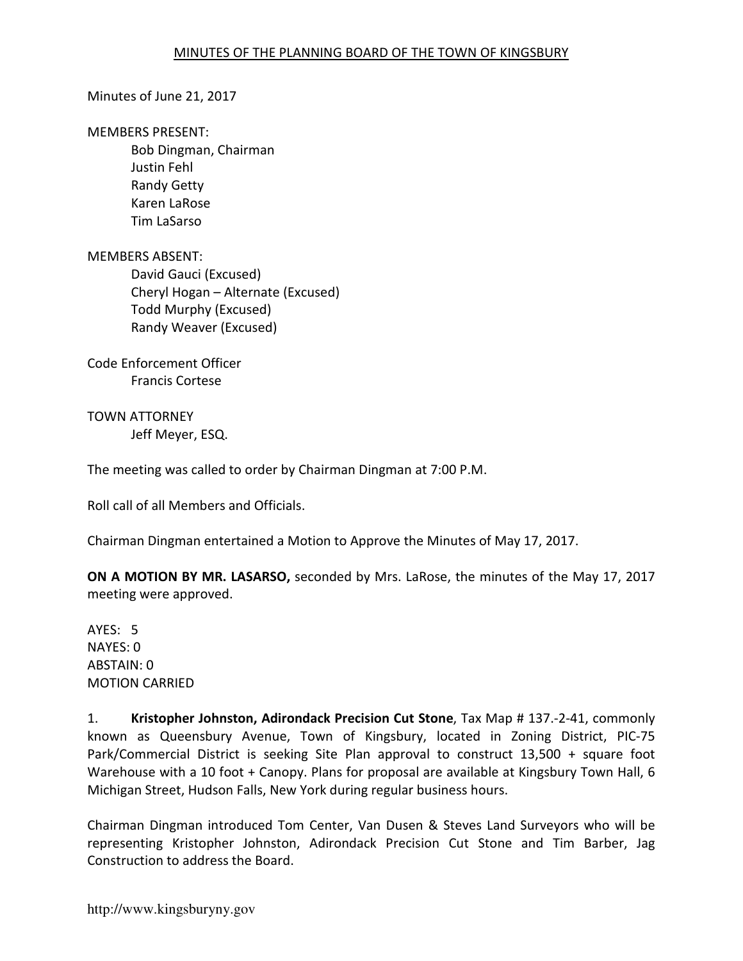#### Minutes of June 21, 2017

#### MEMBERS PRESENT:

Bob Dingman, Chairman Justin Fehl Randy Getty Karen LaRose Tim LaSarso

#### MEMBERS ABSENT:

David Gauci (Excused) Cheryl Hogan – Alternate (Excused) Todd Murphy (Excused) Randy Weaver (Excused)

Code Enforcement Officer Francis Cortese

TOWN ATTORNEY Jeff Meyer, ESQ.

The meeting was called to order by Chairman Dingman at 7:00 P.M.

Roll call of all Members and Officials.

Chairman Dingman entertained a Motion to Approve the Minutes of May 17, 2017.

**ON A MOTION BY MR. LASARSO,** seconded by Mrs. LaRose, the minutes of the May 17, 2017 meeting were approved.

AYES: 5 NAYES: 0 ABSTAIN: 0 MOTION CARRIED

1. **Kristopher Johnston, Adirondack Precision Cut Stone**, Tax Map # 137.-2-41, commonly known as Queensbury Avenue, Town of Kingsbury, located in Zoning District, PIC-75 Park/Commercial District is seeking Site Plan approval to construct 13,500 + square foot Warehouse with a 10 foot + Canopy. Plans for proposal are available at Kingsbury Town Hall, 6 Michigan Street, Hudson Falls, New York during regular business hours.

Chairman Dingman introduced Tom Center, Van Dusen & Steves Land Surveyors who will be representing Kristopher Johnston, Adirondack Precision Cut Stone and Tim Barber, Jag Construction to address the Board.

http://www.kingsburyny.gov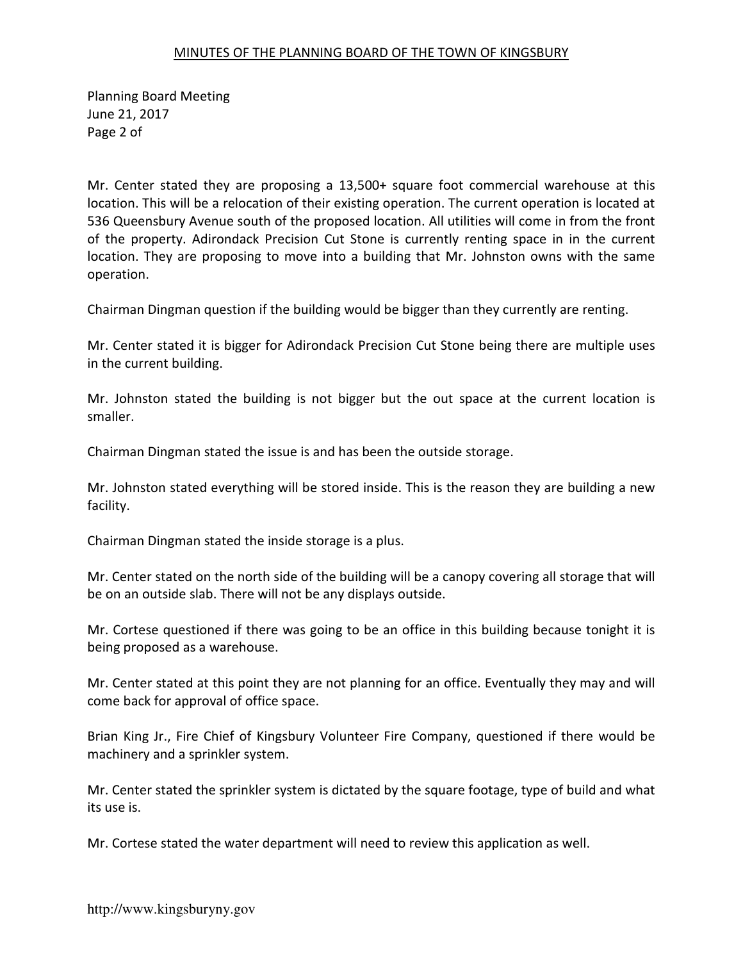Planning Board Meeting June 21, 2017 Page 2 of

Mr. Center stated they are proposing a 13,500+ square foot commercial warehouse at this location. This will be a relocation of their existing operation. The current operation is located at 536 Queensbury Avenue south of the proposed location. All utilities will come in from the front of the property. Adirondack Precision Cut Stone is currently renting space in in the current location. They are proposing to move into a building that Mr. Johnston owns with the same operation.

Chairman Dingman question if the building would be bigger than they currently are renting.

Mr. Center stated it is bigger for Adirondack Precision Cut Stone being there are multiple uses in the current building.

Mr. Johnston stated the building is not bigger but the out space at the current location is smaller.

Chairman Dingman stated the issue is and has been the outside storage.

Mr. Johnston stated everything will be stored inside. This is the reason they are building a new facility.

Chairman Dingman stated the inside storage is a plus.

Mr. Center stated on the north side of the building will be a canopy covering all storage that will be on an outside slab. There will not be any displays outside.

Mr. Cortese questioned if there was going to be an office in this building because tonight it is being proposed as a warehouse.

Mr. Center stated at this point they are not planning for an office. Eventually they may and will come back for approval of office space.

Brian King Jr., Fire Chief of Kingsbury Volunteer Fire Company, questioned if there would be machinery and a sprinkler system.

Mr. Center stated the sprinkler system is dictated by the square footage, type of build and what its use is.

Mr. Cortese stated the water department will need to review this application as well.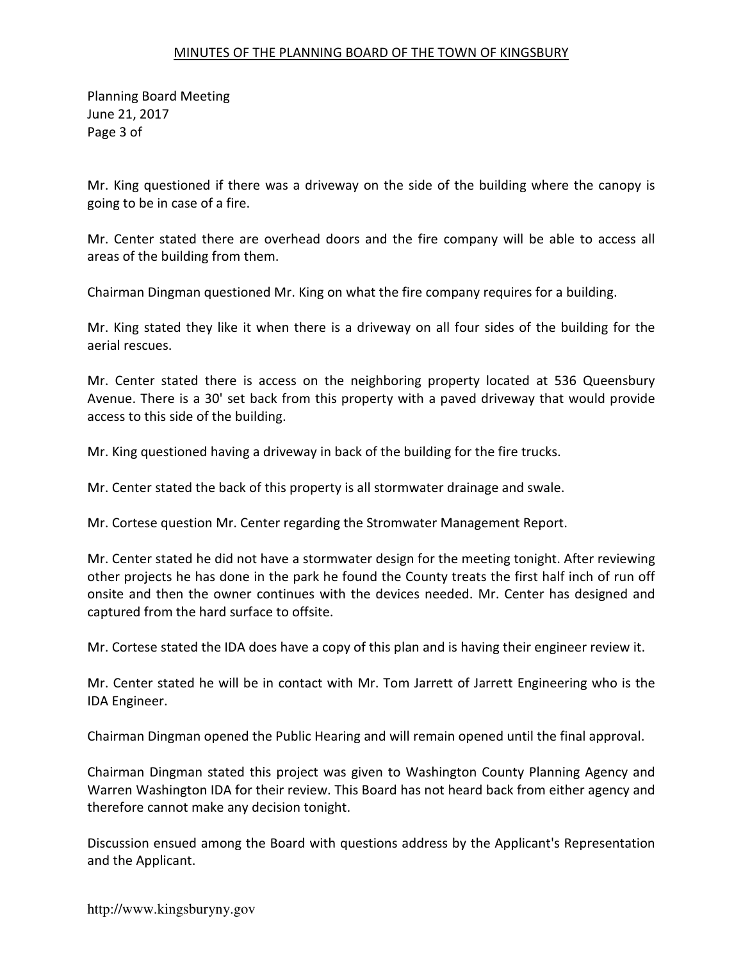Planning Board Meeting June 21, 2017 Page 3 of

Mr. King questioned if there was a driveway on the side of the building where the canopy is going to be in case of a fire.

Mr. Center stated there are overhead doors and the fire company will be able to access all areas of the building from them.

Chairman Dingman questioned Mr. King on what the fire company requires for a building.

Mr. King stated they like it when there is a driveway on all four sides of the building for the aerial rescues.

Mr. Center stated there is access on the neighboring property located at 536 Queensbury Avenue. There is a 30' set back from this property with a paved driveway that would provide access to this side of the building.

Mr. King questioned having a driveway in back of the building for the fire trucks.

Mr. Center stated the back of this property is all stormwater drainage and swale.

Mr. Cortese question Mr. Center regarding the Stromwater Management Report.

Mr. Center stated he did not have a stormwater design for the meeting tonight. After reviewing other projects he has done in the park he found the County treats the first half inch of run off onsite and then the owner continues with the devices needed. Mr. Center has designed and captured from the hard surface to offsite.

Mr. Cortese stated the IDA does have a copy of this plan and is having their engineer review it.

Mr. Center stated he will be in contact with Mr. Tom Jarrett of Jarrett Engineering who is the IDA Engineer.

Chairman Dingman opened the Public Hearing and will remain opened until the final approval.

Chairman Dingman stated this project was given to Washington County Planning Agency and Warren Washington IDA for their review. This Board has not heard back from either agency and therefore cannot make any decision tonight.

Discussion ensued among the Board with questions address by the Applicant's Representation and the Applicant.

http://www.kingsburyny.gov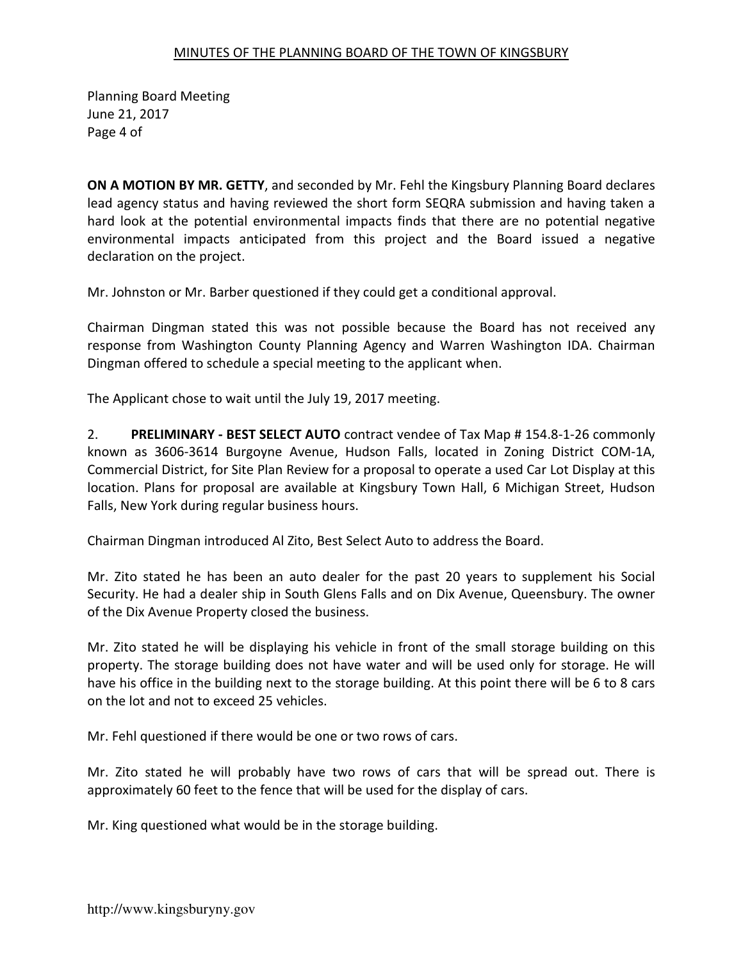Planning Board Meeting June 21, 2017 Page 4 of

**ON A MOTION BY MR. GETTY**, and seconded by Mr. Fehl the Kingsbury Planning Board declares lead agency status and having reviewed the short form SEQRA submission and having taken a hard look at the potential environmental impacts finds that there are no potential negative environmental impacts anticipated from this project and the Board issued a negative declaration on the project.

Mr. Johnston or Mr. Barber questioned if they could get a conditional approval.

Chairman Dingman stated this was not possible because the Board has not received any response from Washington County Planning Agency and Warren Washington IDA. Chairman Dingman offered to schedule a special meeting to the applicant when.

The Applicant chose to wait until the July 19, 2017 meeting.

2. **PRELIMINARY - BEST SELECT AUTO** contract vendee of Tax Map # 154.8-1-26 commonly known as 3606-3614 Burgoyne Avenue, Hudson Falls, located in Zoning District COM-1A, Commercial District, for Site Plan Review for a proposal to operate a used Car Lot Display at this location. Plans for proposal are available at Kingsbury Town Hall, 6 Michigan Street, Hudson Falls, New York during regular business hours.

Chairman Dingman introduced Al Zito, Best Select Auto to address the Board.

Mr. Zito stated he has been an auto dealer for the past 20 years to supplement his Social Security. He had a dealer ship in South Glens Falls and on Dix Avenue, Queensbury. The owner of the Dix Avenue Property closed the business.

Mr. Zito stated he will be displaying his vehicle in front of the small storage building on this property. The storage building does not have water and will be used only for storage. He will have his office in the building next to the storage building. At this point there will be 6 to 8 cars on the lot and not to exceed 25 vehicles.

Mr. Fehl questioned if there would be one or two rows of cars.

Mr. Zito stated he will probably have two rows of cars that will be spread out. There is approximately 60 feet to the fence that will be used for the display of cars.

Mr. King questioned what would be in the storage building.